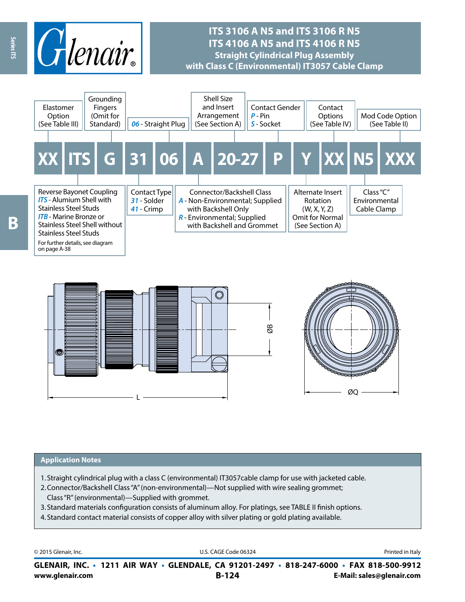

# **ITS 3106 A N5 and ITS 3106 R N5 ITS 4106 A N5 and ITS 4106 R N5 Straight Cylindrical Plug Assembly with Class C (Environmental) IT3057 Cable Clamp**





#### **Application Notes**

- 1. Straight cylindrical plug with a class C (environmental) IT3057cable clamp for use with jacketed cable.
- 2.Connector/Backshell Class "A" (non-environmental)—Not supplied with wire sealing grommet; Class "R" (environmental)—Supplied with grommet.
- 3. Standard materials configuration consists of aluminum alloy. For platings, see TABLE II finish options.
- 4. Standard contact material consists of copper alloy with silver plating or gold plating available.

© 2015 Glenair, Inc. **Discription Construction Construction Construction Construction Construction Construction Construction Construction Construction Construction Construction Construction Construction Construction Constr** 

**www.glenair.com B-124 E-Mail: sales@glenair.com GLENAIR, INC. • 1211 AIR WAY • GLENDALE, CA 91201-2497 • 818-247-6000 • FAX 818-500-9912**